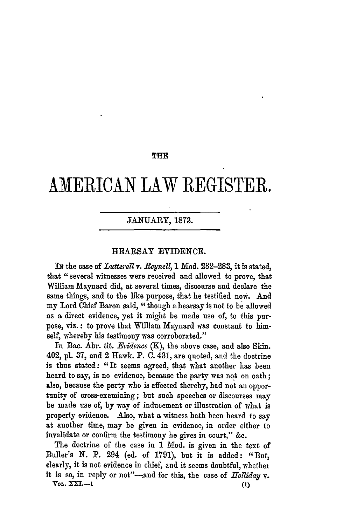### THE

# **AMERICAN** LAW REGISTER.

# JANUARY, 1873.

## HEARSAY EVIDENCE.

**IN** the case of *Lutterell v. Beynell,* **1** Mod. **282-283,** it is stated, that "several witnesses were received and allowed to prove, that William Maynard did, at several times, discourse and declare the same things, and to the like purpose, that he testified now. And my Lord Chief Baron said, "though a hearsay is not to be allowed as a direct evidence, yet it might be made use of, to this purpose, viz.: to prove that William Maynard was constant to himself, whereby his testimony was corroborated."

In Bac. Abr. tit. *Evidence* (K), the above case, and also Skin. 402, **pl. 37,** and 2 Hawk. P. **C.** 431, are quoted, and the doctrine is thus stated: "It seems agreed, that what another has been heard to say, is no evidence, because the party was not on oath; also, because the party who is affected thereby, had not an opportunity of cross-examining; but such speeches or discourses may be made use of, **by** way of inducement or illustration of what is properly evidence. Also, what a witness hath been heard to say at another time, may be given in evidence, in order either to invalidate or confirm the testimony he gives in court," **&c.**

The doctrine of the case in **1** Mod. is given in the text of Buller's **N.** P. 294 (ed. of **1791),** but it is added: "But, clearly, it is not evidence in chief, and it seems doubtful, whethel it is so, in reply or not"-and for this, the case of *Holliday* v. *VOL.* **XXI.-1 (1)**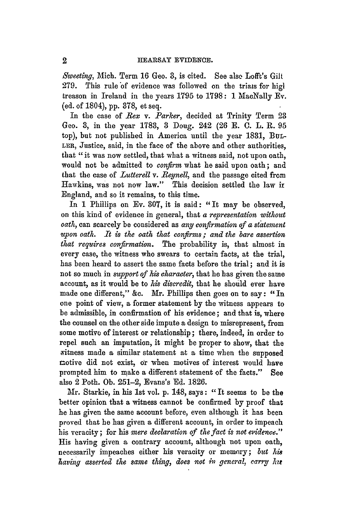*Sweeting,* Mich. Term **16** Geo. 3, is cited. See also Lofft's Gilt 279. This rule of evidence was followed on the trials for high treason in Ireland in the years **1795** to 1798: 1 MacNally Ev. (ed. of 1804), pp. 378, et seq.

In the case of *Rex v. Parker,* decided at Trinity Term 23 Geo. 3, in the year 1783, 3 Doug. 242 (26 E. **C.** L. R. 95 top), but not published in America until the year 1831, BuL-LER, Justice, said, in the face of the above and other authorities, that "it was now settled, that what a witness said, not upon oath, would not be admitted to *confirm* what he said upon oath; and that the case of *Lutterell v. Beynell,* and the passage cited from Hawkins, was not now law." This decision settled the law ir England, and so it remains, to this time.

In 1 Phillips on Ev. 307, it is said: "It may be observed, on this kind of evidence in general, that *a representation without oath,* can scarcely be considered as *any confirmation of a statement upon oath. It is the oath that confirms; and the bare assertion that requires copfirmation.* The probability is, that almost in every case, the witness who swears to certain facts, at the trial, has been heard to assert the same facts before the trial; and it is not so much in *support of his character,* that he has given the same account, as it would be to *his discredit,* that he should ever have made one different," &c. Mr. Phillips then goes on to say: **"In** one point of view, a former statement by the witness appears to be admissible, in confirmation of his evidence; and that is, where the counsel on the other side impute a design to misrepresent, from some motivo of interest or relationship; there, indeed, in order to repel such an imputation, it might be proper to show, that the Avitness made a similar statement at a time when the supposed motive did not exist, or when motives of interest would have prompted him to make a different statement of the facts." See also 2 Poth. Ob. 251-2, Evans's Ed. 1826.

Mr. Starkie, in his 1st vol. p. 148, says: "It seems to be the better opinion that a witness cannot be confirmed by proof that he has given the same account before, even although it has been proved that he has given a different account, in order to impeach his veracity; for his *mere declaration of the fact is not evidence."* His having given a contrary account, although not upon oath, necessarily impeaches either his veracity or memory; *but his having asserted the same thing, does not in general, earry hz*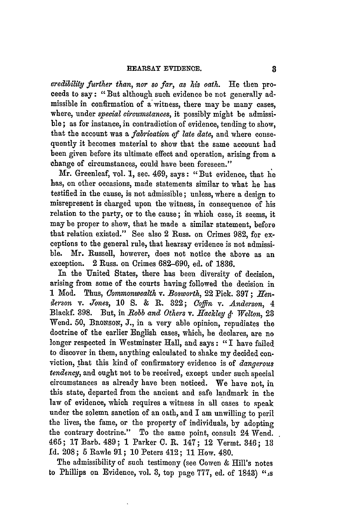#### HEARSAY EVIDENCE.

*credibility further than,* nor so far, as *his oath.* He then proceeds to say: "But although such evidence be not generally admissible in confirmation of a'witness, there may be many cases, where, under *special circumstances,* it possibly might be admissible; as for instance, in contradiction of evidence, tending to show, that the account was a *fabrication of late date,* and where consequently it becomes material to show that the same account had been given before its ultimate effect and operation, arising from a change of circumstances, could have been foreseen."

Mr. Greenleaf, vol. 1, sec. 469, says: "But evidence, that **he** has, on other occasions, made statements similar to what he has testified in the cause, is not admissible; unless, where a design to misrepresent is charged upon the witness, in consequence of his relation to the party, or to the cause; in which case, it seems, it may be proper to show, that he made a similar statement, before that relation existed." See also 2 Russ. on Crimes **982,** for exceptions to the general rule, that hearsay evidence is not admissible. Mr. Russell, however, does not notice the above as an exception. 2 Russ. on Crimes **682-690,** ed. of **1836.**

In the United States, there has been diversity of decision, arising from some of the courts having followed the decision in **1** Mod. Thus, *Commonwealth v. Bosworth,* 22 Pick. 397; *Hfenalerson v. Jones,* **10 S. &** R. **822;** *Coffin* v. *Anderson, 4* Blackf. 398. But, in *Bobb and Others v. .fackley . Welton,* 23 Wend. 50, BRoNsoN, **J.,** in a very able opinion, repudiates the doctrine of the earlier English cases, which, he declares, are no longer respected in Westminster Hall, and says: "I have failed to discover in them, anything calculated to shake my decided conviction, that this kind of confirmatory evidence is of *dangerous tendency,* and ought not to be received, except under such special circumstances as already have been noticed. We have not, in this state, departed from the ancient and safe landmark in the law of evidence, which requires a witness in all cases to speak under the solemn sanction of an oath, and I am unwilling to peril the lives, the fame, or the property of individuals, by adopting the contrary doctrine." To the same point, consult 24 Wend. 465; 17 Barb. 489; **1** Parker C. R. 147; 12 Yermt. 346; **18 Id.** 208; 5 Rawle **91;** 10 Peters 412; 11 How. 480.

The admissibility of such testimony (see Cowen & Hill's notes to Phillips on Evidence, vol. **3,** top page 777, ed. of 1848) "is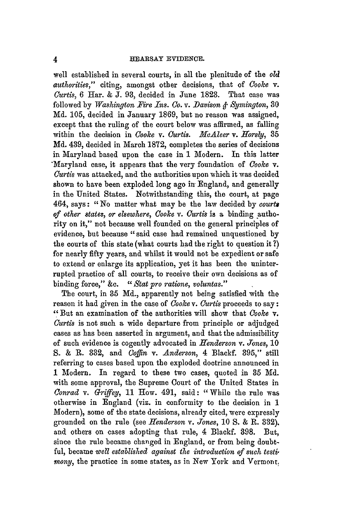well established in several courts, in all the plenitude of the *old authorities,"* citing, amongst other decisions, that of *Cooke* v. *Curtis,* 6 Har. & **J. 93,** decided in June **1823.** That case was followed by *Washington Fire Ins. Co. v. -Davison & Symington, 30* Md. 105, decided in January 1869, but no reason was assigned, except that the ruling of the court below was affirmed, as falling within the decision in *Cooke v. Curtis. McAleer v. fforsly,* 85 Md. 439, decided in March 1872, completes the series of decisions in Maryland based upon the case in 1 Modern. In this latter "Maryland case, it appears that the very foundation of *Cooke* v. *Curtis* was attacked, and the authorities upon which it was decided shown to have been exploded long ago in England, and generally in the United States. Notwithstanding this, the court, at page 464, says: *"No* matter what may be the law decided by *courts of other states, or elsewhere, Cooke v. Curtis* is a binding authority on it," not because well founded on the general principles of evidence, but because "said case had remained unquestioned **by** the courts of this state (what courts had the right to question it ?) for nearly fifty years, and whilst it would not be expedient or safe to extend or enlarge its application, yet it has been the uninterrupted practice of all courts, to receive their own decisions as of binding force," &c. "Stat pro ratione, voluntas."

The court, in **35** Md., apparently not being satisfied with the reason it had given in the case of *Cooke* v. *Curtis* proceeds to say **:** "But an examination of the authorities will show that *Cooke* v. *Curtis* is not such a wide departure from principle or adjudged cases as has been asserted in argument, and that the admissibility of such evidence is cogently advocated in *Henderson v. Jones,* 10 S. & R. **332,** and *Coffin v. Anderson,* 4 Blackf. **395,"** still referring to cases based upon the exploded doctrine announced in **1** Modern. In regard to these two cases, quoted in **35** Md. with some approval, the Supreme Court of the United States in *Conrad v. Griffey,* 11 How. 491, said: "While the rule was otherwise in England (viz. in conformity to the decision in 1 Modern), some of the state decisions, already cited, were expressly grounded on the rule (see *Henderson v. Jones,* 10 *S.* & **R.** 332). and others on cases adopting that rule, 4 Blackf. 398. But, since the rule became changed in England, or from being doubtful, became *well established against the introduction of such testimony,* the practice in some states, as in New York and Vermont,